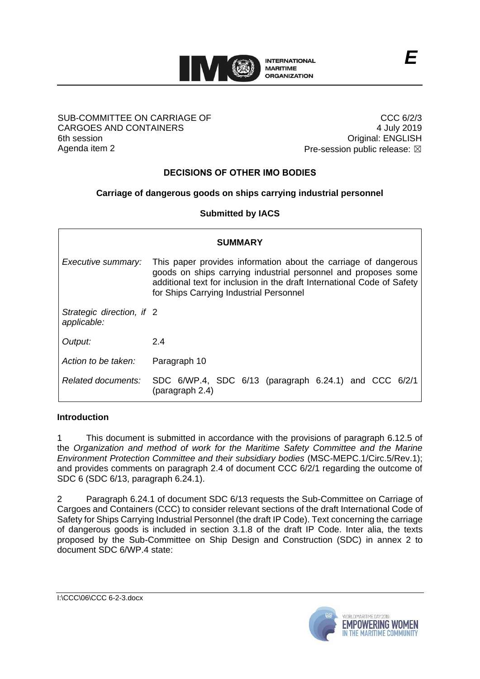

#### SUB-COMMITTEE ON CARRIAGE OF CARGOES AND CONTAINERS 6th session Agenda item 2

CCC 6/2/3 4 July 2019 Original: ENGLISH Pre-session public release:  $\boxtimes$ 

# **DECISIONS OF OTHER IMO BODIES**

# **Carriage of dangerous goods on ships carrying industrial personnel**

**Submitted by IACS**

| <b>SUMMARY</b>                           |                                                                                                                                                                                                                                                         |
|------------------------------------------|---------------------------------------------------------------------------------------------------------------------------------------------------------------------------------------------------------------------------------------------------------|
| Executive summary:                       | This paper provides information about the carriage of dangerous<br>goods on ships carrying industrial personnel and proposes some<br>additional text for inclusion in the draft International Code of Safety<br>for Ships Carrying Industrial Personnel |
| Strategic direction, if 2<br>applicable: |                                                                                                                                                                                                                                                         |
| Output:                                  | 2.4                                                                                                                                                                                                                                                     |
| Action to be taken:                      | Paragraph 10                                                                                                                                                                                                                                            |
| Related documents:                       | SDC 6/WP.4, SDC 6/13 (paragraph 6.24.1) and CCC 6/2/1<br>(paragraph 2.4)                                                                                                                                                                                |

## **Introduction**

1 This document is submitted in accordance with the provisions of paragraph 6.12.5 of the *Organization and method of work for the Maritime Safety Committee and the Marine Environment Protection Committee and their subsidiary bodies* (MSC-MEPC.1/Circ.5/Rev.1); and provides comments on paragraph 2.4 of document CCC 6/2/1 regarding the outcome of SDC 6 (SDC 6/13, paragraph 6.24.1).

2 Paragraph 6.24.1 of document SDC 6/13 requests the Sub-Committee on Carriage of Cargoes and Containers (CCC) to consider relevant sections of the draft International Code of Safety for Ships Carrying Industrial Personnel (the draft IP Code). Text concerning the carriage of dangerous goods is included in section 3.1.8 of the draft IP Code. Inter alia, the texts proposed by the Sub-Committee on Ship Design and Construction (SDC) in annex 2 to document SDC 6/WP.4 state:

I:\CCC\06\CCC 6-2-3.docx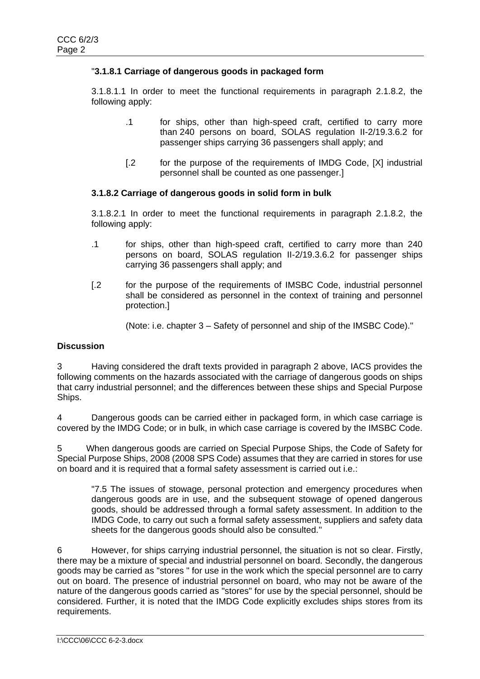## "**3.1.8.1 Carriage of dangerous goods in packaged form**

3.1.8.1.1 In order to meet the functional requirements in paragraph 2.1.8.2, the following apply:

- .1 for ships, other than high-speed craft, certified to carry more than 240 persons on board, SOLAS regulation II-2/19.3.6.2 for passenger ships carrying 36 passengers shall apply; and
- [.2 for the purpose of the requirements of IMDG Code, [X] industrial personnel shall be counted as one passenger.]

## **3.1.8.2 Carriage of dangerous goods in solid form in bulk**

3.1.8.2.1 In order to meet the functional requirements in paragraph 2.1.8.2, the following apply:

- .1 for ships, other than high-speed craft, certified to carry more than 240 persons on board, SOLAS regulation II-2/19.3.6.2 for passenger ships carrying 36 passengers shall apply; and
- [.2 for the purpose of the requirements of IMSBC Code, industrial personnel shall be considered as personnel in the context of training and personnel protection.]

(Note: i.e. chapter 3 – Safety of personnel and ship of the IMSBC Code)."

## **Discussion**

3 Having considered the draft texts provided in paragraph 2 above, IACS provides the following comments on the hazards associated with the carriage of dangerous goods on ships that carry industrial personnel; and the differences between these ships and Special Purpose Ships.

4 Dangerous goods can be carried either in packaged form, in which case carriage is covered by the IMDG Code; or in bulk, in which case carriage is covered by the IMSBC Code.

5 When dangerous goods are carried on Special Purpose Ships, the Code of Safety for Special Purpose Ships, 2008 (2008 SPS Code) assumes that they are carried in stores for use on board and it is required that a formal safety assessment is carried out i.e.:

"7.5 The issues of stowage, personal protection and emergency procedures when dangerous goods are in use, and the subsequent stowage of opened dangerous goods, should be addressed through a formal safety assessment. In addition to the IMDG Code, to carry out such a formal safety assessment, suppliers and safety data sheets for the dangerous goods should also be consulted."

6 However, for ships carrying industrial personnel, the situation is not so clear. Firstly, there may be a mixture of special and industrial personnel on board. Secondly, the dangerous goods may be carried as "stores " for use in the work which the special personnel are to carry out on board. The presence of industrial personnel on board, who may not be aware of the nature of the dangerous goods carried as "stores" for use by the special personnel, should be considered. Further, it is noted that the IMDG Code explicitly excludes ships stores from its requirements.